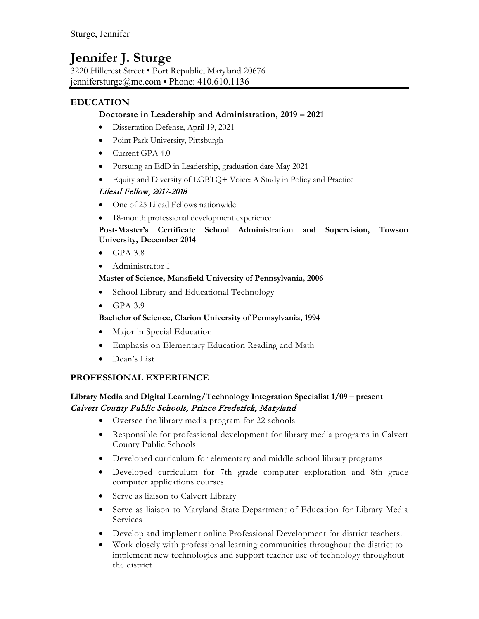# **Jennifer J. Sturge**

3220 Hillcrest Street • Port Republic, Maryland 20676 jennifersturge@me.com • Phone: 410.610.1136

# **EDUCATION**

## **Doctorate in Leadership and Administration, 2019 – 2021**

- Dissertation Defense, April 19, 2021
- Point Park University, Pittsburgh
- Current GPA 4.0
- Pursuing an EdD in Leadership, graduation date May 2021
- Equity and Diversity of LGBTQ+ Voice: A Study in Policy and Practice

# Lilead Fellow, 2017-2018

- One of 25 Lilead Fellows nationwide
- 18-month professional development experience

#### **Post-Master's Certificate School Administration and Supervision, Towson University, December 2014**

- $\bullet$  GPA 3.8
- Administrator I

## **Master of Science, Mansfield University of Pennsylvania, 2006**

- School Library and Educational Technology
- GPA 3.9

#### **Bachelor of Science, Clarion University of Pennsylvania, 1994**

- Major in Special Education
- Emphasis on Elementary Education Reading and Math
- Dean's List

# **PROFESSIONAL EXPERIENCE**

## **Library Media and Digital Learning/Technology Integration Specialist 1/09 – present** Calvert County Public Schools, Prince Frederick, Maryland

- Oversee the library media program for 22 schools
- Responsible for professional development for library media programs in Calvert County Public Schools
- Developed curriculum for elementary and middle school library programs
- Developed curriculum for 7th grade computer exploration and 8th grade computer applications courses
- Serve as liaison to Calvert Library
- Serve as liaison to Maryland State Department of Education for Library Media Services
- Develop and implement online Professional Development for district teachers.
- Work closely with professional learning communities throughout the district to implement new technologies and support teacher use of technology throughout the district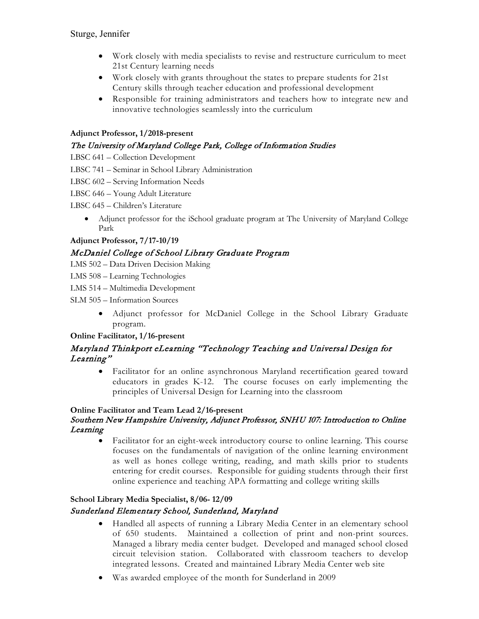- Work closely with media specialists to revise and restructure curriculum to meet 21st Century learning needs
- Work closely with grants throughout the states to prepare students for 21st Century skills through teacher education and professional development
- Responsible for training administrators and teachers how to integrate new and innovative technologies seamlessly into the curriculum

## **Adjunct Professor, 1/2018-present**

# The University of Maryland College Park, College of Information Studies

LBSC 641 – Collection Development

LBSC 741 – Seminar in School Library Administration

LBSC 602 – Serving Information Needs

LBSC 646 – Young Adult Literature

LBSC 645 – Children's Literature

• Adjunct professor for the iSchool graduate program at The University of Maryland College Park

# **Adjunct Professor, 7/17-10/19**

# McDaniel College of School Library Graduate Program

LMS 502 – Data Driven Decision Making

LMS 508 – Learning Technologies

LMS 514 – Multimedia Development

SLM 505 – Information Sources

• Adjunct professor for McDaniel College in the School Library Graduate program.

#### **Online Facilitator, 1/16-present**

# Maryland Thinkport eLearning "Technology Teaching and Universal Design for Learning"

• Facilitator for an online asynchronous Maryland recertification geared toward educators in grades K-12. The course focuses on early implementing the principles of Universal Design for Learning into the classroom

#### **Online Facilitator and Team Lead 2/16-present**

## Southern New Hampshire University, Adjunct Professor, SNHU 107: Introduction to Online Learning

• Facilitator for an eight-week introductory course to online learning. This course focuses on the fundamentals of navigation of the online learning environment as well as hones college writing, reading, and math skills prior to students entering for credit courses. Responsible for guiding students through their first online experience and teaching APA formatting and college writing skills

# **School Library Media Specialist, 8/06- 12/09** Sunderland Elementary School, Sunderland, Maryland

- Handled all aspects of running a Library Media Center in an elementary school of 650 students. Maintained a collection of print and non-print sources. Managed a library media center budget. Developed and managed school closed circuit television station. Collaborated with classroom teachers to develop integrated lessons. Created and maintained Library Media Center web site
- Was awarded employee of the month for Sunderland in 2009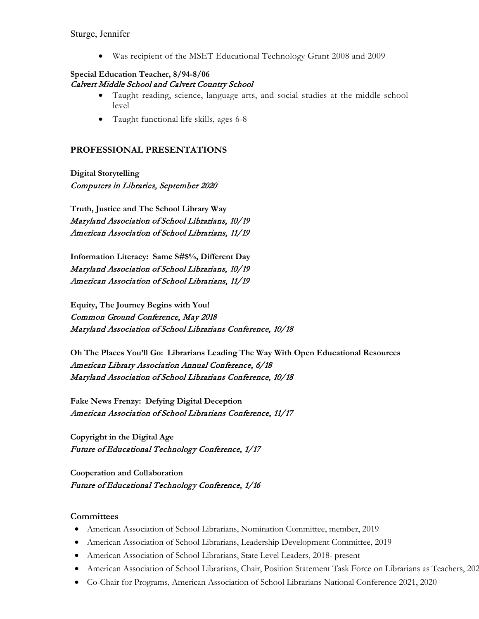• Was recipient of the MSET Educational Technology Grant 2008 and 2009

#### **Special Education Teacher, 8/94-8/06** Calvert Middle School and Calvert Country School

- Taught reading, science, language arts, and social studies at the middle school level
- Taught functional life skills, ages 6-8

#### **PROFESSIONAL PRESENTATIONS**

**Digital Storytelling** Computers in Libraries, September 2020

**Truth, Justice and The School Library Way** Maryland Association of School Librarians, 10/19 American Association of School Librarians, 11/19

**Information Literacy: Same S#\$%, Different Day** Maryland Association of School Librarians, 10/19 American Association of School Librarians, 11/19

**Equity, The Journey Begins with You!** Common Ground Conference, May 2018 Maryland Association of School Librarians Conference, 10/18

**Oh The Places You'll Go: Librarians Leading The Way With Open Educational Resources** American Library Association Annual Conference, 6/18 Maryland Association of School Librarians Conference, 10/18

**Fake News Frenzy: Defying Digital Deception** American Association of School Librarians Conference, 11/17

**Copyright in the Digital Age** Future of Educational Technology Conference, 1/17

**Cooperation and Collaboration** Future of Educational Technology Conference, 1/16

#### **Committees**

- American Association of School Librarians, Nomination Committee, member, 2019
- American Association of School Librarians, Leadership Development Committee, 2019
- American Association of School Librarians, State Level Leaders, 2018- present
- American Association of School Librarians, Chair, Position Statement Task Force on Librarians as Teachers, 202
- Co-Chair for Programs, American Association of School Librarians National Conference 2021, 2020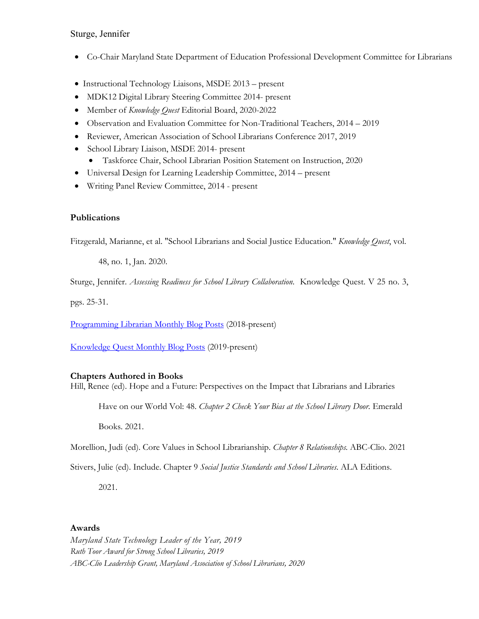- Co-Chair Maryland State Department of Education Professional Development Committee for Librarians
- Instructional Technology Liaisons, MSDE 2013 present
- MDK12 Digital Library Steering Committee 2014- present
- Member of *Knowledge Quest* Editorial Board, 2020-2022
- Observation and Evaluation Committee for Non-Traditional Teachers, 2014 2019
- Reviewer, American Association of School Librarians Conference 2017, 2019
- School Library Liaison, MSDE 2014- present
	- Taskforce Chair, School Librarian Position Statement on Instruction, 2020
- Universal Design for Learning Leadership Committee, 2014 present
- Writing Panel Review Committee, 2014 present

## **Publications**

Fitzgerald, Marianne, et al. "School Librarians and Social Justice Education." *Knowledge Quest*, vol.

48, no. 1, Jan. 2020.

Sturge, Jennifer. *Assessing Readiness for School Library Collaboration*. Knowledge Quest. V 25 no. 3,

pgs. 25-31.

[Programming Librarian](https://programminglibrarian.org/users/dmignardi) Monthly Blog Posts (2018-present)

[Knowledge Quest Monthly Blog Posts](https://knowledgequest.aasl.org/author/jstruge/) (2019-present)

#### **Chapters Authored in Books**

Hill, Renee (ed). Hope and a Future: Perspectives on the Impact that Librarians and Libraries

Have on our World Vol: 48. *Chapter 2 Check Your Bias at the School Library Door.* Emerald

Books. 2021.

Morellion, Judi (ed). Core Values in School Librarianship. *Chapter 8 Relationships.* ABC-Clio. 2021

Stivers, Julie (ed). Include. Chapter 9 *Social Justice Standards and School Libraries*. ALA Editions.

2021.

#### **Awards**

*Maryland State Technology Leader of the Year, 2019 Ruth Toor Award for Strong School Libraries, 2019 ABC-Clio Leadership Grant, Maryland Association of School Librarians, 2020*